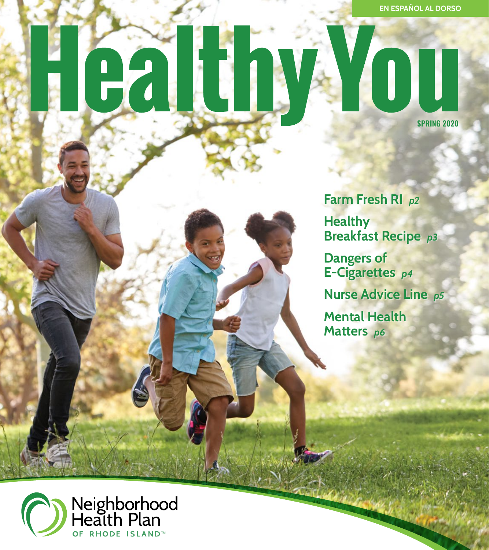**EN ESPAÑOL AL DORSO**

### YOU IN  $\mathbf{H}$ **SPRING 2020**

**Farm Fresh RI** *p2*  **Healthy Breakfast Recipe** *p3*  **Dangers of E-Cigarettes** *p4* 

**Nurse Advice Line** *p5* 

**Mental Health Matters** *p6* 

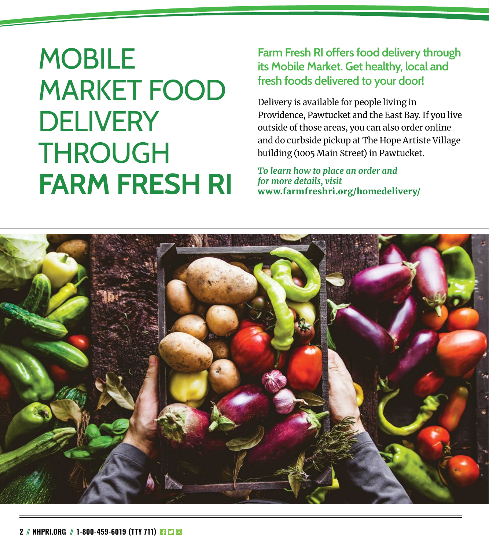### **MOBILE** MARKET FOOD **DELIVERY** THROUGH **FARM FRESH RI**

### **Farm Fresh RI offers food delivery through its Mobile Market. Get healthy, local and fresh foods delivered to your door!**

Delivery is available for people living in Providence, Pawtucket and the East Bay. If you live outside of those areas, you can also order online and do curbside pickup at The Hope Artiste Village building (1005 Main Street) in Pawtucket.

*To learn how to place an order and for more details, visit*  [www.farmfreshri.org/homedelivery/](http://www.farmfreshri.org/homedelivery/)

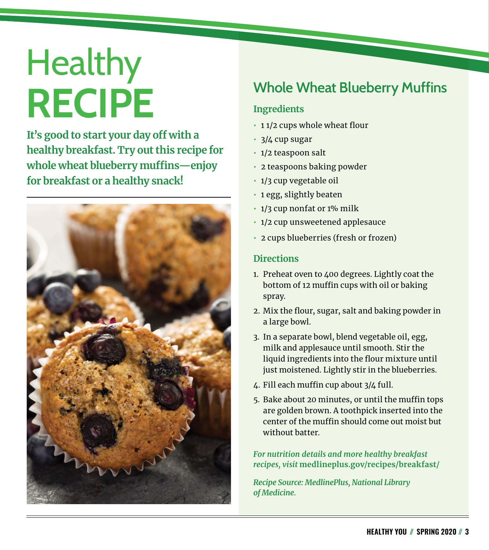# **Healthy RECIPE**

**It's good to start your day off with a healthy breakfast. Try out this recipe for whole wheat blueberry muffins—enjoy for breakfast or a healthy snack!** 



### **Whole Wheat Blueberry Muffins**

### **Ingredients**

- **•** 1 1/2 cups whole wheat flour
- **•** 3/4 cup sugar
- **•** 1/2 teaspoon salt
- **•** 2 teaspoons baking powder
- **•** 1/3 cup vegetable oil
- **•** 1 egg, slightly beaten
- **•** 1/3 cup nonfat or 1% milk
- **•** 1/2 cup unsweetened applesauce
- **•** 2 cups blueberries (fresh or frozen)

#### **Directions**

- 1. Preheat oven to 400 degrees. Lightly coat the bottom of 12 muffin cups with oil or baking spray.
- 2. Mix the flour, sugar, salt and baking powder in a large bowl.
- 3. In a separate bowl, blend vegetable oil, egg, milk and applesauce until smooth. Stir the liquid ingredients into the flour mixture until just moistened. Lightly stir in the blueberries.
- 4. Fill each muffin cup about 3/4 full.
- 5. Bake about 20 minutes, or until the muffin tops are golden brown. A toothpick inserted into the center of the muffin should come out moist but without batter.

*For nutrition details and more healthy breakfast recipes, visit* **[medlineplus.gov/recipes/breakfast/](https://medlineplus.gov/recipes/breakfast/)**

*Recipe Source: MedlinePlus, National Library of Medicine.*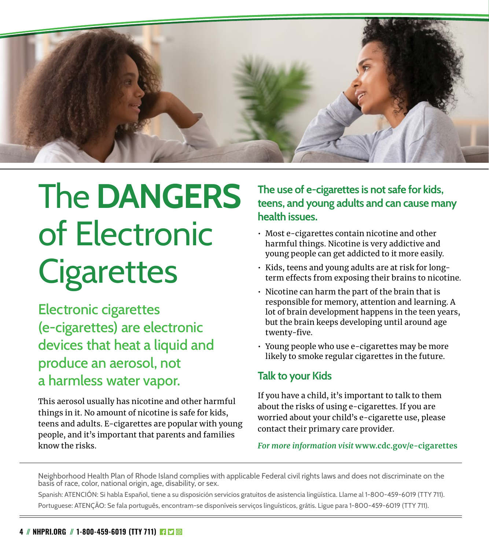

## The **DANGERS** of Electronic **Cigarettes**

Electronic cigarettes (e-cigarettes) are electronic devices that heat a liquid and produce an aerosol, not a harmless water vapor.

This aerosol usually has nicotine and other harmful things in it. No amount of nicotine is safe for kids, teens and adults. E-cigarettes are popular with young people, and it's important that parents and families know the risks.

### **The use of e-cigarettes is not safe for kids, teens, and young adults and can cause many health issues.**

- Most e-cigarettes contain nicotine and other harmful things. Nicotine is very addictive and young people can get addicted to it more easily.
- Kids, teens and young adults are at risk for longterm effects from exposing their brains to nicotine.
- Nicotine can harm the part of the brain that is responsible for memory, attention and learning. A lot of brain development happens in the teen years, but the brain keeps developing until around age twenty-five.
- Young people who use e-cigarettes may be more likely to smoke regular cigarettes in the future.

### **Talk to your Kids**

If you have a child, it's important to talk to them about the risks of using e-cigarettes. If you are worried about your child's e-cigarette use, please contact their primary care provider.

#### *For more information visit* **[www.cdc.gov/e-cigarettes](http://www.cdc.gov/e-cigarettes)**

Neighborhood Health Plan of Rhode Island complies with applicable Federal civil rights laws and does not discriminate on the basis of race, color, national origin, age, disability, or sex.

Spanish: ATENCIÓN: Si habla Español, tiene a su disposición servicios gratuitos de asistencia lingüística. Llame al 1-800-459-6019 (TTY 711). Portuguese: ATENÇÃO: Se fala português, encontram-se disponíveis serviços linguísticos, grátis. Ligue para 1-800-459-6019 (TTY 711).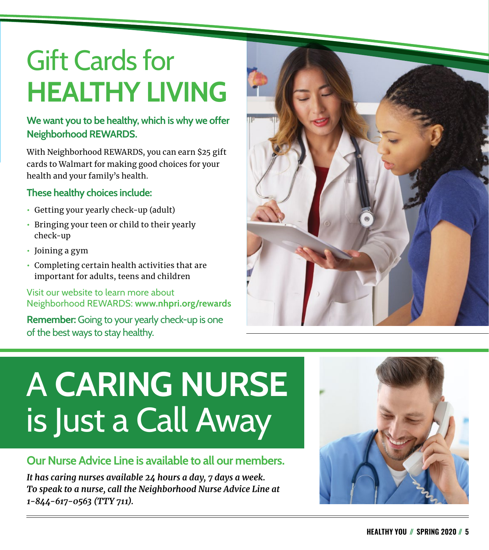## Gift Cards for **HEALTHY LIVING**

### **We want you to be healthy, which is why we offer Neighborhood REWARDS.**

With Neighborhood REWARDS, you can earn \$25 gift cards to Walmart for making good choices for your health and your family's health.

### **These healthy choices include:**

- **•** Getting your yearly check-up (adult)
- **•** Bringing your teen or child to their yearly check-up
- **•** Joining a gym
- **•** Completing certain health activities that are important for adults, teens and children

### Visit our website to learn more about Neighborhood REWARDS: **[www.nhpri.org/rewards](http://www.nhpri.org/rewards)**

**Remember:** Going to your yearly check-up is one of the best ways to stay healthy.



## A **CARING NURSE** is Just a Call Away

### **Our Nurse Advice Line is available to all our members.**

*It has caring nurses available 24 hours a day, 7 days a week. To speak to a nurse, call the Neighborhood Nurse Advice Line at 1-844-617-0563 (TTY 711).*